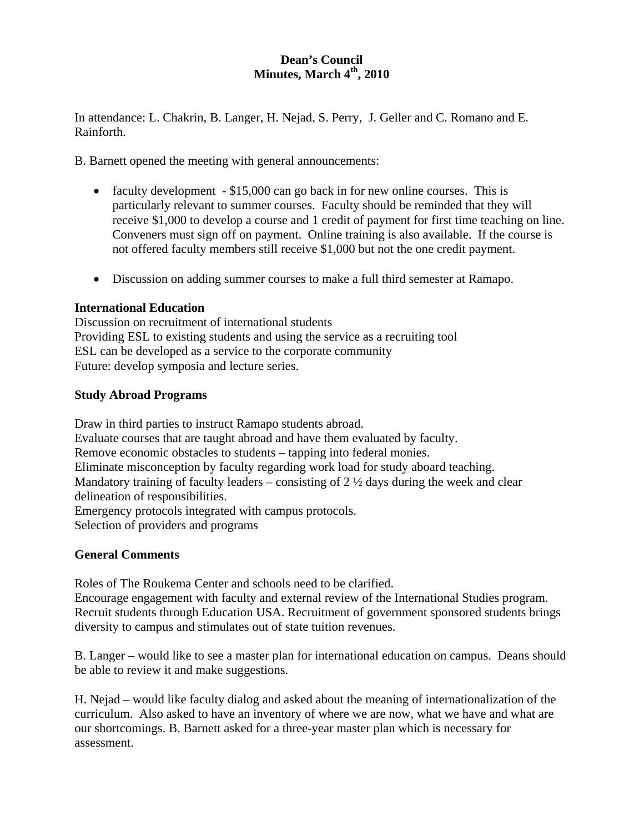## **Dean's Council Minutes, March 4<sup>th</sup>, 2010**

In attendance: L. Chakrin, B. Langer, H. Nejad, S. Perry, J. Geller and C. Romano and E. Rainforth.

B. Barnett opened the meeting with general announcements:

- faculty development \$15,000 can go back in for new online courses. This is particularly relevant to summer courses. Faculty should be reminded that they will receive \$1,000 to develop a course and 1 credit of payment for first time teaching on line. Conveners must sign off on payment. Online training is also available. If the course is not offered faculty members still receive \$1,000 but not the one credit payment.
- Discussion on adding summer courses to make a full third semester at Ramapo.

## **International Education**

Discussion on recruitment of international students Providing ESL to existing students and using the service as a recruiting tool ESL can be developed as a service to the corporate community Future: develop symposia and lecture series.

## **Study Abroad Programs**

Draw in third parties to instruct Ramapo students abroad. Evaluate courses that are taught abroad and have them evaluated by faculty. Remove economic obstacles to students – tapping into federal monies. Eliminate misconception by faculty regarding work load for study aboard teaching. Mandatory training of faculty leaders – consisting of  $2 \frac{1}{2}$  days during the week and clear delineation of responsibilities. Emergency protocols integrated with campus protocols. Selection of providers and programs

# **General Comments**

Roles of The Roukema Center and schools need to be clarified.

Encourage engagement with faculty and external review of the International Studies program. Recruit students through Education USA. Recruitment of government sponsored students brings diversity to campus and stimulates out of state tuition revenues.

B. Langer – would like to see a master plan for international education on campus. Deans should be able to review it and make suggestions.

H. Nejad – would like faculty dialog and asked about the meaning of internationalization of the curriculum. Also asked to have an inventory of where we are now, what we have and what are our shortcomings. B. Barnett asked for a three-year master plan which is necessary for assessment.